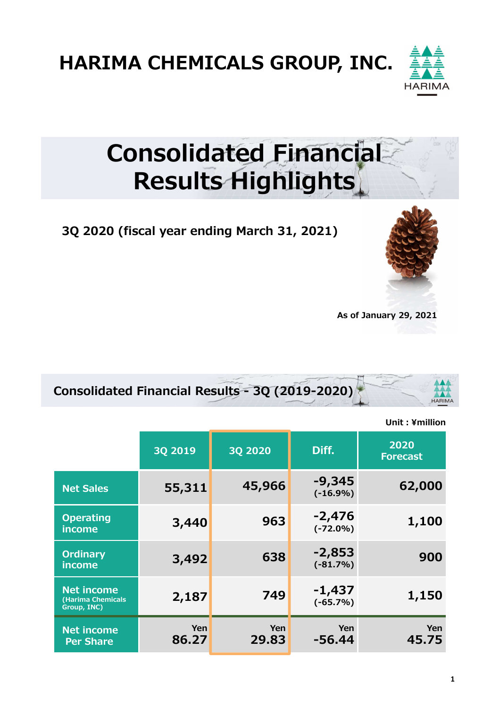HARIMA CHEMICALS GROUP, INC.



## Consolidated Financial Results Highlights

3Q 2020 (fiscal year ending March 31, 2021)





|                                                       | <b>3Q 2019</b> | <b>3Q 2020</b> | Diff.                   | 2020<br><b>Forecast</b> |
|-------------------------------------------------------|----------------|----------------|-------------------------|-------------------------|
| <b>Net Sales</b>                                      | 55,311         | 45,966         | $-9,345$<br>$(-16.9%)$  | 62,000                  |
| <b>Operating</b><br>income                            | 3,440          | 963            | $-2,476$<br>$(-72.0\%)$ | 1,100                   |
| <b>Ordinary</b><br>income                             | 3,492          | 638            | $-2,853$<br>$(-81.7%)$  | 900                     |
| <b>Net income</b><br>(Harima Chemicals<br>Group, INC) | 2,187          | 749            | -1,437<br>$(-65.7%)$    | 1,150                   |
| <b>Net income</b><br><b>Per Share</b>                 | Yen<br>86.27   | Yen<br>29.83   | Yen<br>$-56.44$         | Yen<br>45.75            |

Unit: ¥million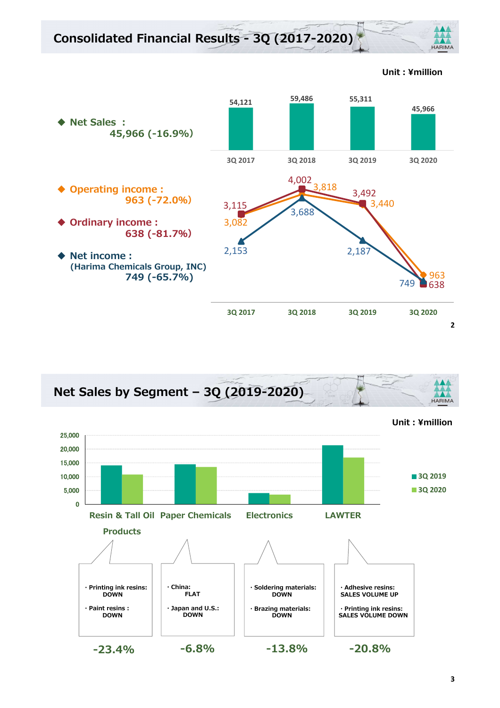



Unit︓¥million

**HARIMA**